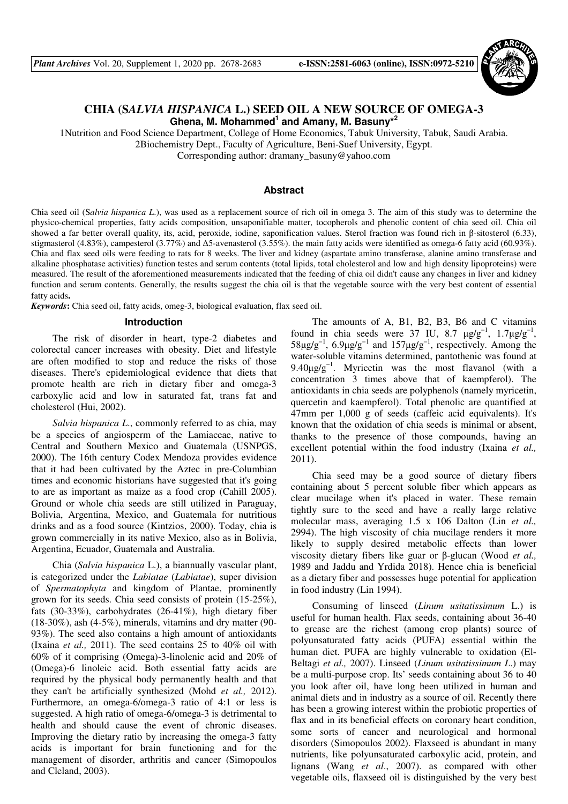

# **CHIA (S***ALVIA HISPANICA* **L.) SEED OIL A NEW SOURCE OF OMEGA-3 Ghena, M. Mohammed<sup>1</sup> and Amany, M. Basuny\*<sup>2</sup>**

1Nutrition and Food Science Department, College of Home Economics, Tabuk University, Tabuk, Saudi Arabia.

2Biochemistry Dept., Faculty of Agriculture, Beni-Suef University, Egypt.

Corresponding author: dramany\_basuny@yahoo.com

## **Abstract**

Chia seed oil (S*alvia hispanica L*.), was used as a replacement source of rich oil in omega 3. The aim of this study was to determine the physico-chemical properties, fatty acids composition, unsaponifiable matter, tocopherols and phenolic content of chia seed oil. Chia oil showed a far better overall quality, its, acid, peroxide, iodine, saponification values. Sterol fraction was found rich in β-sitosterol (6.33), stigmasterol (4.83%), campesterol (3.77%) and ∆5-avenasterol (3.55%). the main fatty acids were identified as omega-6 fatty acid (60.93%). Chia and flax seed oils were feeding to rats for 8 weeks. The liver and kidney (aspartate amino transferase, alanine amino transferase and alkaline phosphatase activities) function testes and serum contents (total lipids, total cholesterol and low and high density lipoproteins) were measured. The result of the aforementioned measurements indicated that the feeding of chia oil didn't cause any changes in liver and kidney function and serum contents. Generally, the results suggest the chia oil is that the vegetable source with the very best content of essential fatty acids.

*Keywords***:** Chia seed oil, fatty acids, omeg-3, biological evaluation, flax seed oil.

#### **Introduction**

The risk of disorder in heart, type-2 diabetes and colorectal cancer increases with obesity. Diet and lifestyle are often modified to stop and reduce the risks of those diseases. There's epidemiological evidence that diets that promote health are rich in dietary fiber and omega-3 carboxylic acid and low in saturated fat, trans fat and cholesterol (Hui, 2002).

*Salvia hispanica L*., commonly referred to as chia, may be a species of angiosperm of the Lamiaceae, native to Central and Southern Mexico and Guatemala (USNPGS, 2000). The 16th century Codex Mendoza provides evidence that it had been cultivated by the Aztec in pre-Columbian times and economic historians have suggested that it's going to are as important as maize as a food crop (Cahill 2005). Ground or whole chia seeds are still utilized in Paraguay, Bolivia, Argentina, Mexico, and Guatemala for nutritious drinks and as a food source (Kintzios, 2000). Today, chia is grown commercially in its native Mexico, also as in Bolivia, Argentina, Ecuador, Guatemala and Australia.

Chia (*Salvia hispanica* L.), a biannually vascular plant, is categorized under the *Labiatae* (*Labiatae*), super division of *Spermatophyta* and kingdom of Plantae, prominently grown for its seeds. Chia seed consists of protein (15-25%), fats (30-33%), carbohydrates (26-41%), high dietary fiber (18-30%), ash (4-5%), minerals, vitamins and dry matter (90- 93%). The seed also contains a high amount of antioxidants (Ixaina *et al.,* 2011). The seed contains 25 to 40% oil with 60% of it comprising (Omega)-3-linolenic acid and 20% of (Omega)-6 linoleic acid. Both essential fatty acids are required by the physical body permanently health and that they can't be artificially synthesized (Mohd *et al.,* 2012). Furthermore, an omega-6/omega-3 ratio of 4:1 or less is suggested. A high ratio of omega-6/omega-3 is detrimental to health and should cause the event of chronic diseases. Improving the dietary ratio by increasing the omega-3 fatty acids is important for brain functioning and for the management of disorder, arthritis and cancer (Simopoulos and Cleland, 2003).

The amounts of A, B1, B2, B3, B6 and C vitamins found in chia seeds were 37 IU, 8.7  $\mu g/g^{-1}$ , 1.7 $\mu g/g^{-1}$ ,  $58\mu\text{g/g}^{-1}$ ,  $6.9\mu\text{g/g}^{-1}$  and  $157\mu\text{g/g}^{-1}$ , respectively. Among the water-soluble vitamins determined, pantothenic was found at 9.40 $\mu$ g/g<sup>-1</sup>. Myricetin was the most flavanol (with a concentration 3 times above that of kaempferol). The antioxidants in chia seeds are polyphenols (namely myricetin, quercetin and kaempferol). Total phenolic are quantified at 47mm per 1,000 g of seeds (caffeic acid equivalents). It's known that the oxidation of chia seeds is minimal or absent, thanks to the presence of those compounds, having an excellent potential within the food industry (Ixaina *et al.,* 2011).

Chia seed may be a good source of dietary fibers containing about 5 percent soluble fiber which appears as clear mucilage when it's placed in water. These remain tightly sure to the seed and have a really large relative molecular mass, averaging 1.5 x 106 Dalton (Lin *et al.,* 2994). The high viscosity of chia mucilage renders it more likely to supply desired metabolic effects than lower viscosity dietary fibers like guar or β-glucan (Wood *et al.,* 1989 and Jaddu and Yrdida 2018). Hence chia is beneficial as a dietary fiber and possesses huge potential for application in food industry (Lin 1994).

Consuming of linseed (*Linum usitatissimum* L.) is useful for human health. Flax seeds, containing about 36-40 to grease are the richest (among crop plants) source of polyunsaturated fatty acids (PUFA) essential within the human diet. PUFA are highly vulnerable to oxidation (El-Beltagi *et al.,* 2007). Linseed (*Linum usitatissimum L*.) may be a multi-purpose crop. Its' seeds containing about 36 to 40 you look after oil, have long been utilized in human and animal diets and in industry as a source of oil. Recently there has been a growing interest within the probiotic properties of flax and in its beneficial effects on coronary heart condition, some sorts of cancer and neurological and hormonal disorders (Simopoulos 2002). Flaxseed is abundant in many nutrients, like polyunsaturated carboxylic acid, protein, and lignans (Wang *et al*., 2007). as compared with other vegetable oils, flaxseed oil is distinguished by the very best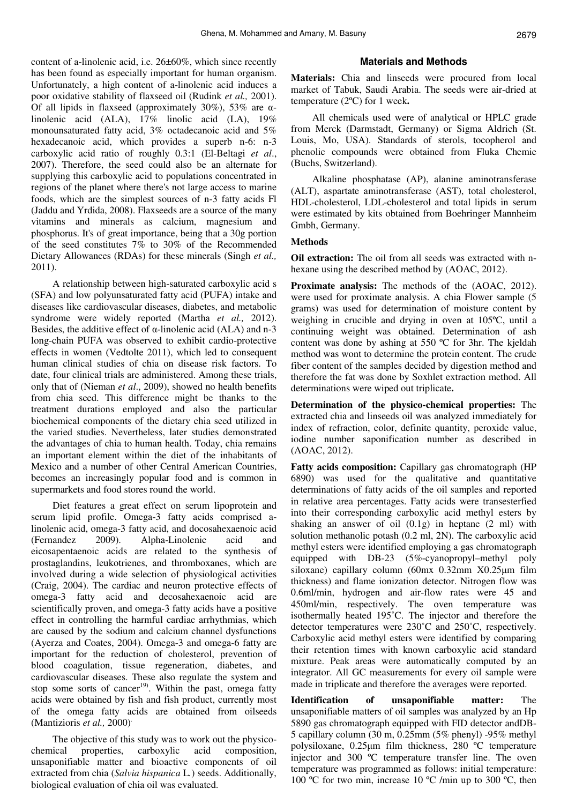content of a-linolenic acid, i.e. 26±60%, which since recently has been found as especially important for human organism. Unfortunately, a high content of a-linolenic acid induces a poor oxidative stability of flaxseed oil (Rudink *et al.,* 2001). Of all lipids in flaxseed (approximately 30%), 53% are  $\alpha$ linolenic acid (ALA), 17% linolic acid (LA), 19% monounsaturated fatty acid, 3% octadecanoic acid and 5% hexadecanoic acid, which provides a superb n-6: n-3 carboxylic acid ratio of roughly 0.3:1 (El-Beltagi *et al*., 2007). Therefore, the seed could also be an alternate for supplying this carboxylic acid to populations concentrated in regions of the planet where there's not large access to marine foods, which are the simplest sources of n-3 fatty acids Fl (Jaddu and Yrdida, 2008). Flaxseeds are a source of the many vitamins and minerals as calcium, magnesium and phosphorus. It's of great importance, being that a 30g portion of the seed constitutes 7% to 30% of the Recommended Dietary Allowances (RDAs) for these minerals (Singh *et al.,* 2011).

A relationship between high-saturated carboxylic acid s (SFA) and low polyunsaturated fatty acid (PUFA) intake and diseases like cardiovascular diseases, diabetes, and metabolic syndrome were widely reported (Martha *et al.,* 2012). Besides, the additive effect of  $\alpha$ -linolenic acid (ALA) and n-3 long-chain PUFA was observed to exhibit cardio-protective effects in women (Vedtolte 2011), which led to consequent human clinical studies of chia on disease risk factors. To date, four clinical trials are administered. Among these trials, only that of (Nieman *et al*., 2009), showed no health benefits from chia seed. This difference might be thanks to the treatment durations employed and also the particular biochemical components of the dietary chia seed utilized in the varied studies. Nevertheless, later studies demonstrated the advantages of chia to human health. Today, chia remains an important element within the diet of the inhabitants of Mexico and a number of other Central American Countries, becomes an increasingly popular food and is common in supermarkets and food stores round the world.

Diet features a great effect on serum lipoprotein and serum lipid profile. Omega-3 fatty acids comprised alinolenic acid, omega-3 fatty acid, and docosahexaenoic acid (Fernandez 2009). Alpha-Linolenic acid and eicosapentaenoic acids are related to the synthesis of prostaglandins, leukotrienes, and thromboxanes, which are involved during a wide selection of physiological activities (Craig, 2004). The cardiac and neuron protective effects of omega-3 fatty acid and decosahexaenoic acid are scientifically proven, and omega-3 fatty acids have a positive effect in controlling the harmful cardiac arrhythmias, which are caused by the sodium and calcium channel dysfunctions (Ayerza and Coates, 2004). Omega-3 and omega-6 fatty are important for the reduction of cholesterol, prevention of blood coagulation, tissue regeneration, diabetes, and cardiovascular diseases. These also regulate the system and stop some sorts of cancer<sup>19)</sup>. Within the past, omega fatty acids were obtained by fish and fish product, currently most of the omega fatty acids are obtained from oilseeds (Mantizioris *et al.,* 2000).

The objective of this study was to work out the physicochemical properties, carboxylic acid composition, unsaponifiable matter and bioactive components of oil extracted from chia (*Salvia hispanica* L*.*) seeds. Additionally, biological evaluation of chia oil was evaluated.

#### **Materials and Methods**

**Materials:** Chia and linseeds were procured from local market of Tabuk, Saudi Arabia. The seeds were air-dried at temperature (2ºC) for 1 week.

All chemicals used were of analytical or HPLC grade from Merck (Darmstadt, Germany) or Sigma Aldrich (St. Louis, Mo, USA). Standards of sterols, tocopherol and phenolic compounds were obtained from Fluka Chemie (Buchs, Switzerland).

Alkaline phosphatase (AP), alanine aminotransferase (ALT), aspartate aminotransferase (AST), total cholesterol, HDL-cholesterol, LDL-cholesterol and total lipids in serum were estimated by kits obtained from Boehringer Mannheim Gmbh, Germany.

### **Methods**

**Oil extraction:** The oil from all seeds was extracted with nhexane using the described method by (AOAC, 2012).

**Proximate analysis:** The methods of the (AOAC, 2012). were used for proximate analysis. A chia Flower sample (5 grams) was used for determination of moisture content by weighing in crucible and drying in oven at 105ºC, until a continuing weight was obtained. Determination of ash content was done by ashing at 550 ºC for 3hr. The kjeldah method was wont to determine the protein content. The crude fiber content of the samples decided by digestion method and therefore the fat was done by Soxhlet extraction method. All determinations were wiped out triplicate.

**Determination of the physico-chemical properties:** The extracted chia and linseeds oil was analyzed immediately for index of refraction, color, definite quantity, peroxide value, iodine number saponification number as described in (AOAC, 2012).

**Fatty acids composition:** Capillary gas chromatograph (HP 6890) was used for the qualitative and quantitative determinations of fatty acids of the oil samples and reported in relative area percentages. Fatty acids were transesterfied into their corresponding carboxylic acid methyl esters by shaking an answer of oil (0.1g) in heptane (2 ml) with solution methanolic potash (0.2 ml, 2N). The carboxylic acid methyl esters were identified employing a gas chromatograph equipped with DB-23 (5%-cyanopropyl–methyl poly siloxane) capillary column (60mx 0.32mm X0.25µm film thickness) and flame ionization detector. Nitrogen flow was 0.6ml/min, hydrogen and air-flow rates were 45 and 450ml/min, respectively. The oven temperature was isothermally heated 195˚C. The injector and therefore the detector temperatures were 230˚C and 250˚C, respectively. Carboxylic acid methyl esters were identified by comparing their retention times with known carboxylic acid standard mixture. Peak areas were automatically computed by an integrator. All GC measurements for every oil sample were made in triplicate and therefore the averages were reported.

**Identification of unsaponifiable matter:** The unsaponifiable matters of oil samples was analyzed by an Hp 5890 gas chromatograph equipped with FID detector andDB-5 capillary column (30 m, 0.25mm (5% phenyl) -95% methyl polysiloxane, 0.25µm film thickness, 280 ºC temperature injector and 300 ºC temperature transfer line. The oven temperature was programmed as follows: initial temperature: 100 °C for two min, increase 10 °C /min up to 300 °C, then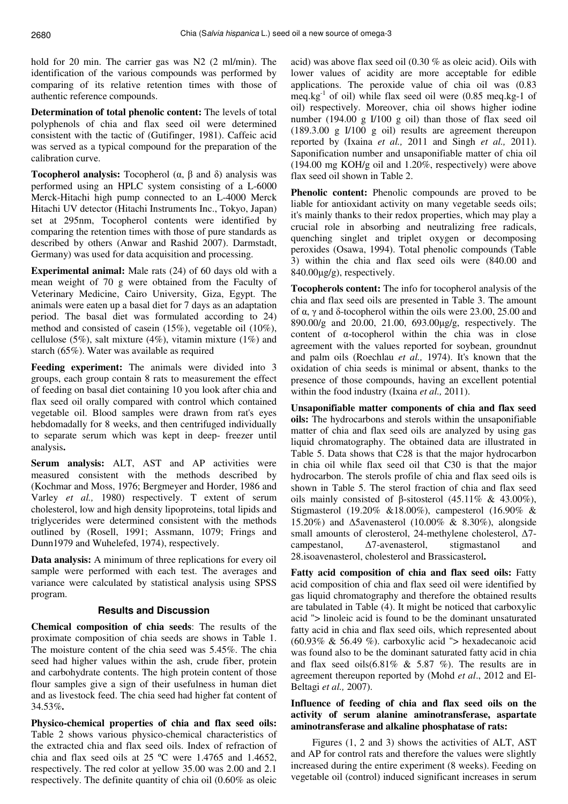hold for 20 min. The carrier gas was N2 (2 ml/min). The identification of the various compounds was performed by comparing of its relative retention times with those of authentic reference compounds.

**Determination of total phenolic content:** The levels of total polyphenols of chia and flax seed oil were determined consistent with the tactic of (Gutifinger, 1981). Caffeic acid was served as a typical compound for the preparation of the calibration curve.

**Tocopherol analysis:** Tocopherol (α, β and δ) analysis was performed using an HPLC system consisting of a L-6000 Merck-Hitachi high pump connected to an L-4000 Merck Hitachi UV detector (Hitachi Instruments Inc., Tokyo, Japan) set at 295nm, Tocopherol contents were identified by comparing the retention times with those of pure standards as described by others (Anwar and Rashid 2007). Darmstadt, Germany) was used for data acquisition and processing.

**Experimental animal:** Male rats (24) of 60 days old with a mean weight of 70 g were obtained from the Faculty of Veterinary Medicine, Cairo University, Giza, Egypt. The animals were eaten up a basal diet for 7 days as an adaptation period. The basal diet was formulated according to 24) method and consisted of casein (15%), vegetable oil (10%), cellulose (5%), salt mixture (4%), vitamin mixture (1%) and starch (65%). Water was available as required

**Feeding experiment:** The animals were divided into 3 groups, each group contain 8 rats to measurement the effect of feeding on basal diet containing 10 you look after chia and flax seed oil orally compared with control which contained vegetable oil. Blood samples were drawn from rat's eyes hebdomadally for 8 weeks, and then centrifuged individually to separate serum which was kept in deep- freezer until analysis.

**Serum analysis:** ALT, AST and AP activities were measured consistent with the methods described by (Kochmar and Moss, 1976; Bergmeyer and Horder, 1986 and Varley *et al.,* 1980) respectively. T extent of serum cholesterol, low and high density lipoproteins, total lipids and triglycerides were determined consistent with the methods outlined by (Rosell, 1991; Assmann, 1079; Frings and Dunn1979 and Wuhelefed, 1974), respectively.

**Data analysis:** A minimum of three replications for every oil sample were performed with each test. The averages and variance were calculated by statistical analysis using SPSS program.

### **Results and Discussion**

**Chemical composition of chia seeds**: The results of the proximate composition of chia seeds are shows in Table 1. The moisture content of the chia seed was 5.45%. The chia seed had higher values within the ash, crude fiber, protein and carbohydrate contents. The high protein content of those flour samples give a sign of their usefulness in human diet and as livestock feed. The chia seed had higher fat content of 34.53%.

**Physico-chemical properties of chia and flax seed oils:**  Table 2 shows various physico-chemical characteristics of the extracted chia and flax seed oils. Index of refraction of chia and flax seed oils at 25 ºC were 1.4765 and 1.4652, respectively. The red color at yellow 35.00 was 2.00 and 2.1 respectively. The definite quantity of chia oil (0.60% as oleic

acid) was above flax seed oil (0.30 % as oleic acid). Oils with lower values of acidity are more acceptable for edible applications. The peroxide value of chia oil was (0.83 meq.kg<sup>-1</sup> of oil) while flax seed oil were  $(0.85 \text{ meq}$ .kg-1 of oil) respectively. Moreover, chia oil shows higher iodine number (194.00 g I/100 g oil) than those of flax seed oil (189.3.00 g I/100 g oil) results are agreement thereupon reported by (Ixaina *et al.,* 2011 and Singh *et al.,* 2011). Saponification number and unsaponifiable matter of chia oil (194.00 mg KOH/g oil and 1.20%, respectively) were above flax seed oil shown in Table 2.

**Phenolic content:** Phenolic compounds are proved to be liable for antioxidant activity on many vegetable seeds oils; it's mainly thanks to their redox properties, which may play a crucial role in absorbing and neutralizing free radicals, quenching singlet and triplet oxygen or decomposing peroxides (Osawa, 1994). Total phenolic compounds (Table 3) within the chia and flax seed oils were (840.00 and 840.00µg/g), respectively.

**Tocopherols content:** The info for tocopherol analysis of the chia and flax seed oils are presented in Table 3. The amount of α, γ and δ-tocopherol within the oils were 23.00, 25.00 and 890.00/g and 20.00, 21.00, 693.00µg/g, respectively. The content of α-tocopherol within the chia was in close agreement with the values reported for soybean, groundnut and palm oils (Roechlau *et al.,* 1974). It's known that the oxidation of chia seeds is minimal or absent, thanks to the presence of those compounds, having an excellent potential within the food industry (Ixaina *et al.,* 2011).

**Unsaponifiable matter components of chia and flax seed oils:** The hydrocarbons and sterols within the unsaponifiable matter of chia and flax seed oils are analyzed by using gas liquid chromatography. The obtained data are illustrated in Table 5. Data shows that C28 is that the major hydrocarbon in chia oil while flax seed oil that C30 is that the major hydrocarbon. The sterols profile of chia and flax seed oils is shown in Table 5. The sterol fraction of chia and flax seed oils mainly consisted of β-sitosterol  $(45.11\% \& 43.00\%),$ Stigmasterol (19.20% &18.00%), campesterol (16.90% & 15.20%) and ∆5avenasterol (10.00% & 8.30%), alongside small amounts of clerosterol, 24-methylene cholesterol, Δ7campestanol, ∆7-avenasterol, stigmastanol and 28.isoavenasterol, cholesterol and Brassicasterol.

**Fatty acid composition of chia and flax seed oils:** Fatty acid composition of chia and flax seed oil were identified by gas liquid chromatography and therefore the obtained results are tabulated in Table (4). It might be noticed that carboxylic acid "> linoleic acid is found to be the dominant unsaturated fatty acid in chia and flax seed oils, which represented about (60.93% & 56.49 %). carboxylic acid "> hexadecanoic acid was found also to be the dominant saturated fatty acid in chia and flax seed oils $(6.81\% \& 5.87\%)$ . The results are in agreement thereupon reported by (Mohd *et al*., 2012 and El-Beltagi *et al.,* 2007).

# **Influence of feeding of chia and flax seed oils on the activity of serum alanine aminotransferase, aspartate aminotransferase and alkaline phosphatase of rats:**

Figures (1, 2 and 3) shows the activities of ALT, AST and AP for control rats and therefore the values were slightly increased during the entire experiment (8 weeks). Feeding on vegetable oil (control) induced significant increases in serum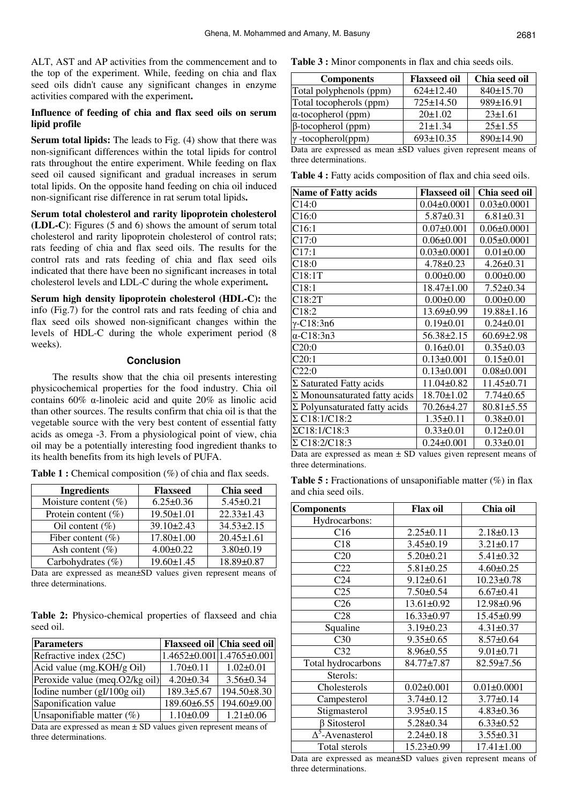ALT, AST and AP activities from the commencement and to the top of the experiment. While, feeding on chia and flax seed oils didn't cause any significant changes in enzyme activities compared with the experiment.

## **Influence of feeding of chia and flax seed oils on serum lipid profile**

**Serum total lipids:** The leads to Fig. (4) show that there was non-significant differences within the total lipids for control rats throughout the entire experiment. While feeding on flax seed oil caused significant and gradual increases in serum total lipids. On the opposite hand feeding on chia oil induced non-significant rise difference in rat serum total lipids.

**Serum total cholesterol and rarity lipoprotein cholesterol (LDL-C**): Figures (5 and 6) shows the amount of serum total cholesterol and rarity lipoprotein cholesterol of control rats; rats feeding of chia and flax seed oils. The results for the control rats and rats feeding of chia and flax seed oils indicated that there have been no significant increases in total cholesterol levels and LDL-C during the whole experiment.

**Serum high density lipoprotein cholesterol (HDL-C):** the info (Fig.7) for the control rats and rats feeding of chia and flax seed oils showed non-significant changes within the levels of HDL-C during the whole experiment period (8 weeks).

# **Conclusion**

The results show that the chia oil presents interesting physicochemical properties for the food industry. Chia oil contains 60% α-linoleic acid and quite 20% as linolic acid than other sources. The results confirm that chia oil is that the vegetable source with the very best content of essential fatty acids as omega -3. From a physiological point of view, chia oil may be a potentially interesting food ingredient thanks to its health benefits from its high levels of PUFA.

| <b>Ingredients</b>                                                                                                | <b>Flaxseed</b>  | Chia seed        |
|-------------------------------------------------------------------------------------------------------------------|------------------|------------------|
| Moisture content $(\%)$                                                                                           | $6.25 \pm 0.36$  | $5.45 \pm 0.21$  |
| Protein content $(\%)$                                                                                            | 19.50±1.01       | $22.33 \pm 1.43$ |
| Oil content $(\% )$                                                                                               | $39.10 \pm 2.43$ | $34.53 \pm 2.15$ |
| Fiber content $(\%)$                                                                                              | 17.80±1.00       | $20.45 \pm 1.61$ |
| Ash content $(\% )$                                                                                               | $4.00 \pm 0.22$  | $3.80 \pm 0.19$  |
| Carbohydrates (%)                                                                                                 | $19.60 \pm 1.45$ | 18.89±0.87       |
| $\mathbf{D}_{\text{eff}}$ and consider the contract $\mathbf{D}_{\text{eff}}$ and the contract of the contract of |                  |                  |

**Table 1 :** Chemical composition (%) of chia and flax seeds.

Data are expressed as mean±SD values given represent means of three determinations.

**Table 2:** Physico-chemical properties of flaxseed and chia seed oil.

| <b>Parameters</b>                                                   |                 | Flaxseed oil Chia seed oil               |  |
|---------------------------------------------------------------------|-----------------|------------------------------------------|--|
| Refractive index (25C)                                              |                 | $1.4652 \pm 0.001 \mid 1.4765 \pm 0.001$ |  |
| Acid value (mg.KOH/g Oil)                                           | $1.70 \pm 0.11$ | $1.02 \pm 0.01$                          |  |
| Peroxide value (meq.O2/kg oil)                                      | $4.20 \pm 0.34$ | $3.56 \pm 0.34$                          |  |
| Iodine number (gI/100g oil)                                         | 189.3±5.67      | 194.50±8.30                              |  |
| Saponification value                                                | 189.60±6.55     | 194.60±9.00                              |  |
| Unsaponifiable matter $(\%)$                                        | $1.10 \pm 0.09$ | $1.21 \pm 0.06$                          |  |
| Data are expressed as mean $\pm$ CD values given represent means of |                 |                                          |  |

Data are expressed as mean  $\pm$  SD values given represent means of three determinations.

**Table 3 :** Minor components in flax and chia seeds oils.

| <b>Components</b>          | <b>Flaxseed oil</b> | Chia seed oil |
|----------------------------|---------------------|---------------|
| Total polyphenols (ppm)    | $624 \pm 12.40$     | 840±15.70     |
| Total tocopherols (ppm)    | $725 \pm 14.50$     | 989±16.91     |
| $\alpha$ -tocopherol (ppm) | $20 \pm 1.02$       | $23 \pm 1.61$ |
| $\beta$ -tocopherol (ppm)  | $21 \pm 1.34$       | $25 \pm 1.55$ |
| $\gamma$ -tocopherol(ppm)  | $693 \pm 10.35$     | 890±14.90     |

Data are expressed as mean ±SD values given represent means of three determinations.

**Table 4 :** Fatty acids composition of flax and chia seed oils.

| <b>Name of Fatty acids</b>           | <b>Flaxseed oil</b> | Chia seed oil     |
|--------------------------------------|---------------------|-------------------|
| C14:0                                | $0.04 \pm 0.0001$   | $0.03 \pm 0.0001$ |
| C16:0                                | $5.87 \pm 0.31$     | $6.81 \pm 0.31$   |
| C16:1                                | $0.07 \pm 0.001$    | $0.06 \pm 0.0001$ |
| C17:0                                | $0.06 \pm 0.001$    | $0.05 \pm 0.0001$ |
| C17:1                                | $0.03 \pm 0.0001$   | $0.01 \pm 0.00$   |
| C18:0                                | $4.78 \pm 0.23$     | $4.26 \pm 0.31$   |
| C18:1T                               | $0.00 \pm 0.00$     | $0.00 \pm 0.00$   |
| C18:1                                | $18.47 \pm 1.00$    | $7.52 \pm 0.34$   |
| C18:2T                               | $0.00 \pm 0.00$     | $0.00 \pm 0.00$   |
| C18:2                                | $13.69 \pm 0.99$    | 19.88±1.16        |
| $γ$ -C18:3n6                         | $0.19 \pm 0.01$     | $0.24 \pm 0.01$   |
| $\alpha$ -C18:3n3                    | $56.38 \pm 2.15$    | $60.69 \pm 2.98$  |
| C20:0                                | $0.16 \pm 0.01$     | $0.35 \pm 0.03$   |
| C20:1                                | $0.13 \pm 0.001$    | $0.15 \pm 0.01$   |
| C22:0                                | $0.13 \pm 0.001$    | $0.08 \pm 0.001$  |
| $\Sigma$ Saturated Fatty acids       | 11.04±0.82          | $11.45 \pm 0.71$  |
| $\Sigma$ Monounsaturated fatty acids | $18.70 \pm 1.02$    | $7.74 \pm 0.65$   |
| $\Sigma$ Polyunsaturated fatty acids | 70.26±4.27          | $80.81 \pm 5.55$  |
| $\Sigma$ C18:1/C18:2                 | $1.35 \pm 0.11$     | $0.38 \pm 0.01$   |
| ΣC18:1/C18:3                         | $0.33 \pm 0.01$     | $0.12 \pm 0.01$   |
| $\Sigma$ C18:2/C18:3                 | $0.24 \pm 0.001$    | $0.33 \pm 0.01$   |

Data are expressed as mean  $\pm$  SD values given represent means of three determinations.

**Table 5 :** Fractionations of unsaponifiable matter (%) in flax and chia seed oils.

| <b>Components</b>                  | <b>Flax oil</b>  | Chia oil          |
|------------------------------------|------------------|-------------------|
| Hydrocarbons:                      |                  |                   |
| C16                                | $2.25 \pm 0.11$  | $2.18 \pm 0.13$   |
| C18                                | $3.45 \pm 0.19$  | $3.21 \pm 0.17$   |
| C <sub>20</sub>                    | $5.20 \pm 0.21$  | $5.41 \pm 0.32$   |
| C <sub>22</sub>                    | $5.81 \pm 0.25$  | $4.60 \pm 0.25$   |
| C <sub>24</sub>                    | $9.12 \pm 0.61$  | $10.23 \pm 0.78$  |
| C <sub>25</sub>                    | $7.50 \pm 0.54$  | $6.67 \pm 0.41$   |
| C <sub>26</sub>                    | 13.61±0.92       | 12.98±0.96        |
| C <sub>28</sub>                    | 16.33±0.97       | $15.45 \pm 0.99$  |
| Squaline                           | $3.19 \pm 0.23$  | $4.31 \pm 0.37$   |
| C30                                | $9.35 \pm 0.65$  | $8.57 \pm 0.64$   |
| C <sub>32</sub>                    | $8.96 \pm 0.55$  | $9.01 \pm 0.71$   |
| Total hydrocarbons                 | 84.77±7.87       | $82.59 \pm 7.56$  |
| Sterols:                           |                  |                   |
| Cholesterols                       | $0.02 \pm 0.001$ | $0.01 \pm 0.0001$ |
| Campesterol                        | $3.74 \pm 0.12$  | $3.77 \pm 0.14$   |
| Stigmasterol                       | $3.95 \pm 0.15$  | $4.83 \pm 0.36$   |
| $\beta$ Sitosterol                 | $5.28 \pm 0.34$  | $6.33 \pm 0.52$   |
| $\overline{\Delta}^5$ -Avenasterol | $2.24 \pm 0.18$  | $3.55 \pm 0.31$   |
| Total sterols                      | 15.23±0.99       | $17.41 \pm 1.00$  |

Data are expressed as mean±SD values given represent means of three determinations.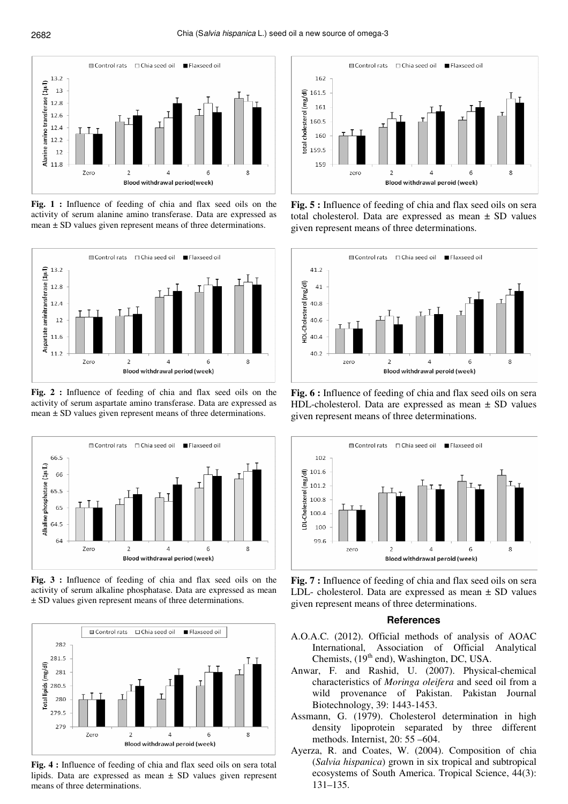

**Fig. 1 :** Influence of feeding of chia and flax seed oils on the activity of serum alanine amino transferase. Data are expressed as mean ± SD values given represent means of three determinations.



**Fig. 2 :** Influence of feeding of chia and flax seed oils on the activity of serum aspartate amino transferase. Data are expressed as mean ± SD values given represent means of three determinations.



**Fig. 3 :** Influence of feeding of chia and flax seed oils on the activity of serum alkaline phosphatase. Data are expressed as mean ± SD values given represent means of three determinations.



**Fig. 4 :** Influence of feeding of chia and flax seed oils on sera total lipids. Data are expressed as mean ± SD values given represent means of three determinations.



**Fig. 5 :** Influence of feeding of chia and flax seed oils on sera total cholesterol. Data are expressed as mean ± SD values given represent means of three determinations.



**Fig. 6 :** Influence of feeding of chia and flax seed oils on sera HDL-cholesterol. Data are expressed as mean ± SD values given represent means of three determinations.



**Fig. 7 :** Influence of feeding of chia and flax seed oils on sera LDL- cholesterol. Data are expressed as mean ± SD values given represent means of three determinations.

#### **References**

- A.O.A.C. (2012). Official methods of analysis of AOAC International, Association of Official Analytical Chemists, (19<sup>th</sup> end), Washington, DC, USA.
- Anwar, F. and Rashid, U. (2007). Physical-chemical characteristics of *Moringa oleifera* and seed oil from a wild provenance of Pakistan. Pakistan Journal Biotechnology, 39: 1443-1453.
- Assmann, G. (1979). Cholesterol determination in high density lipoprotein separated by three different methods. Internist, 20: 55 –604.
- Ayerza, R. and Coates, W. (2004). Composition of chia (*Salvia hispanica*) grown in six tropical and subtropical ecosystems of South America. Tropical Science, 44(3): 131–135.